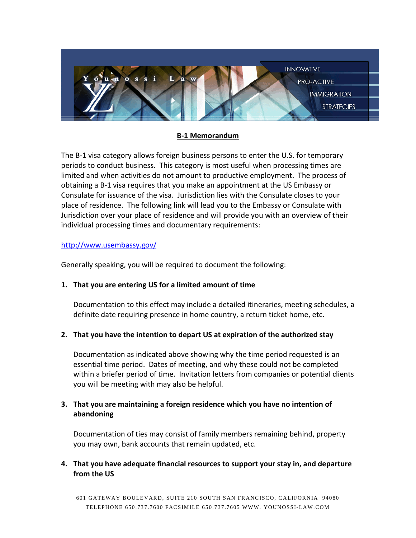

### **B-1 Memorandum**

The B-1 visa category allows foreign business persons to enter the U.S. for temporary periods to conduct business. This category is most useful when processing times are limited and when activities do not amount to productive employment. The process of obtaining a B-1 visa requires that you make an appointment at the US Embassy or Consulate for issuance of the visa. Jurisdiction lies with the Consulate closes to your place of residence. The following link will lead you to the Embassy or Consulate with Jurisdiction over your place of residence and will provide you with an overview of their individual processing times and documentary requirements:

### <http://www.usembassy.gov/>

Generally speaking, you will be required to document the following:

## **1. That you are entering US for a limited amount of time**

Documentation to this effect may include a detailed itineraries, meeting schedules, a definite date requiring presence in home country, a return ticket home, etc.

## **2. That you have the intention to depart US at expiration of the authorized stay**

Documentation as indicated above showing why the time period requested is an essential time period. Dates of meeting, and why these could not be completed within a briefer period of time. Invitation letters from companies or potential clients you will be meeting with may also be helpful.

# **3. That you are maintaining a foreign residence which you have no intention of abandoning**

Documentation of ties may consist of family members remaining behind, property you may own, bank accounts that remain updated, etc.

## **4. That you have adequate financial resources to support your stay in, and departure from the US**

601 GATEWAY BOULEVARD, SUITE 210 SOUTH SAN FRANCISCO, CALIFORNIA 94080 TELEPHONE 650.737.7600 FACSIMILE 650.737 .7605 WWW. YOUNOSSI-LAW.COM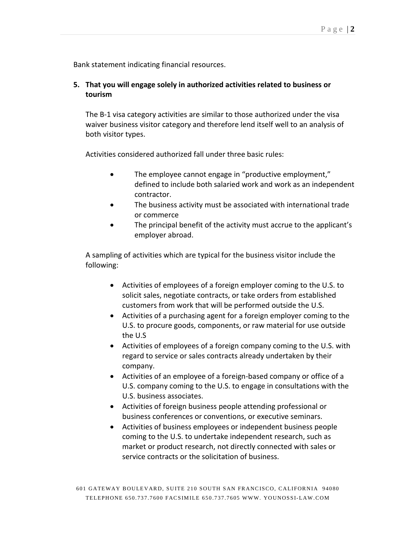Bank statement indicating financial resources.

# **5. That you will engage solely in authorized activities related to business or tourism**

The B-1 visa category activities are similar to those authorized under the visa waiver business visitor category and therefore lend itself well to an analysis of both visitor types.

Activities considered authorized fall under three basic rules:

- The employee cannot engage in "productive employment," defined to include both salaried work and work as an independent contractor.
- The business activity must be associated with international trade or commerce
- The principal benefit of the activity must accrue to the applicant's employer abroad.

A sampling of activities which are typical for the business visitor include the following:

- Activities of employees of a foreign employer coming to the U.S. to solicit sales, negotiate contracts, or take orders from established customers from work that will be performed outside the U.S.
- Activities of a purchasing agent for a foreign employer coming to the U.S. to procure goods, components, or raw material for use outside the U.S
- Activities of employees of a foreign company coming to the U.S. with regard to service or sales contracts already undertaken by their company.
- Activities of an employee of a foreign-based company or office of a U.S. company coming to the U.S. to engage in consultations with the U.S. business associates.
- Activities of foreign business people attending professional or business conferences or conventions, or executive seminars.
- Activities of business employees or independent business people coming to the U.S. to undertake independent research, such as market or product research, not directly connected with sales or service contracts or the solicitation of business.